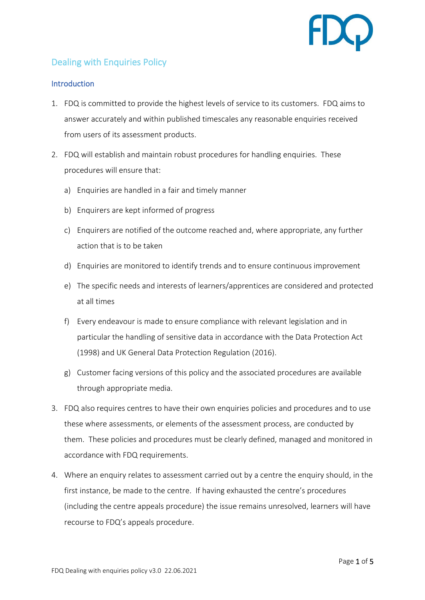

# Dealing with Enquiries Policy

### **Introduction**

- 1. FDQ is committed to provide the highest levels of service to its customers. FDQ aims to answer accurately and within published timescales any reasonable enquiries received from users of its assessment products.
- 2. FDQ will establish and maintain robust procedures for handling enquiries. These procedures will ensure that:
	- a) Enquiries are handled in a fair and timely manner
	- b) Enquirers are kept informed of progress
	- c) Enquirers are notified of the outcome reached and, where appropriate, any further action that is to be taken
	- d) Enquiries are monitored to identify trends and to ensure continuous improvement
	- e) The specific needs and interests of learners/apprentices are considered and protected at all times
	- f) Every endeavour is made to ensure compliance with relevant legislation and in particular the handling of sensitive data in accordance with the Data Protection Act (1998) and UK General Data Protection Regulation (2016).
	- g) Customer facing versions of this policy and the associated procedures are available through appropriate media.
- 3. FDQ also requires centres to have their own enquiries policies and procedures and to use these where assessments, or elements of the assessment process, are conducted by them. These policies and procedures must be clearly defined, managed and monitored in accordance with FDQ requirements.
- 4. Where an enquiry relates to assessment carried out by a centre the enquiry should, in the first instance, be made to the centre. If having exhausted the centre's procedures (including the centre appeals procedure) the issue remains unresolved, learners will have recourse to FDQ's appeals procedure.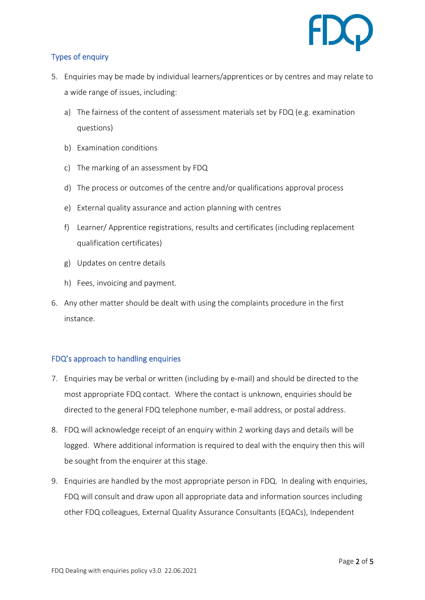

## Types of enquiry

- 5. Enquiries may be made by individual learners/apprentices or by centres and may relate to a wide range of issues, including:
	- a) The fairness of the content of assessment materials set by FDQ (e.g. examination questions)
	- b) Examination conditions
	- c) The marking of an assessment by FDQ
	- d) The process or outcomes of the centre and/or qualifications approval process
	- e) External quality assurance and action planning with centres
	- f) Learner/ Apprentice registrations, results and certificates (including replacement qualification certificates)
	- g) Updates on centre details
	- h) Fees, invoicing and payment.
- 6. Any other matter should be dealt with using the complaints procedure in the first instance.

## FDQ's approach to handling enquiries

- 7. Enquiries may be verbal or written (including by e-mail) and should be directed to the most appropriate FDQ contact. Where the contact is unknown, enquiries should be directed to the general FDQ telephone number, e-mail address, or postal address.
- 8. FDQ will acknowledge receipt of an enquiry within 2 working days and details will be logged. Where additional information is required to deal with the enquiry then this will be sought from the enquirer at this stage.
- 9. Enquiries are handled by the most appropriate person in FDQ. In dealing with enquiries, FDQ will consult and draw upon all appropriate data and information sources including other FDQ colleagues, External Quality Assurance Consultants (EQACs), Independent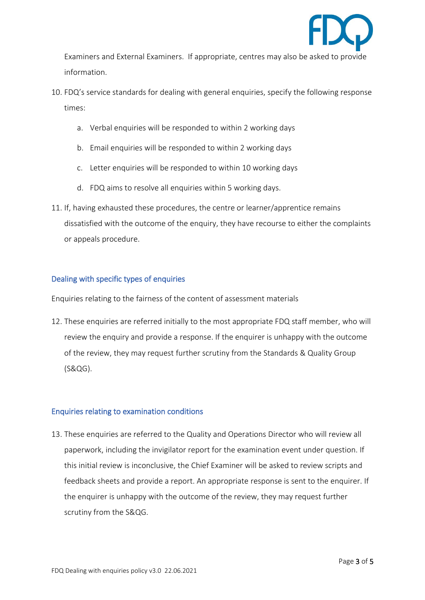

Examiners and External Examiners. If appropriate, centres may also be asked to provide information.

- 10. FDQ's service standards for dealing with general enquiries, specify the following response times:
	- a. Verbal enquiries will be responded to within 2 working days
	- b. Email enquiries will be responded to within 2 working days
	- c. Letter enquiries will be responded to within 10 working days
	- d. FDQ aims to resolve all enquiries within 5 working days.
- 11. If, having exhausted these procedures, the centre or learner/apprentice remains dissatisfied with the outcome of the enquiry, they have recourse to either the complaints or appeals procedure.

#### Dealing with specific types of enquiries

Enquiries relating to the fairness of the content of assessment materials

12. These enquiries are referred initially to the most appropriate FDQ staff member, who will review the enquiry and provide a response. If the enquirer is unhappy with the outcome of the review, they may request further scrutiny from the Standards & Quality Group (S&QG).

#### Enquiries relating to examination conditions

13. These enquiries are referred to the Quality and Operations Director who will review all paperwork, including the invigilator report for the examination event under question. If this initial review is inconclusive, the Chief Examiner will be asked to review scripts and feedback sheets and provide a report. An appropriate response is sent to the enquirer. If the enquirer is unhappy with the outcome of the review, they may request further scrutiny from the S&QG.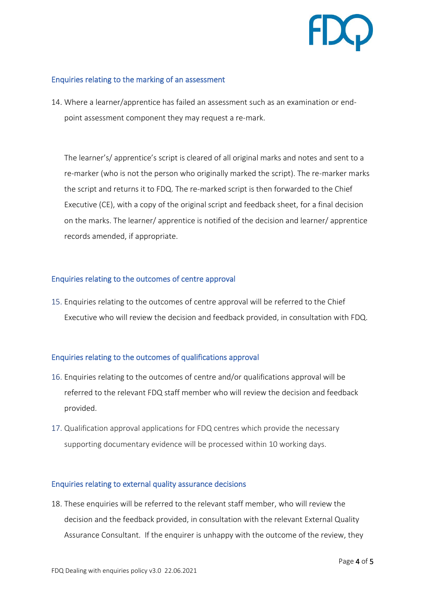

#### Enquiries relating to the marking of an assessment

14. Where a learner/apprentice has failed an assessment such as an examination or endpoint assessment component they may request a re-mark.

The learner's/ apprentice's script is cleared of all original marks and notes and sent to a re-marker (who is not the person who originally marked the script). The re-marker marks the script and returns it to FDQ. The re-marked script is then forwarded to the Chief Executive (CE), with a copy of the original script and feedback sheet, for a final decision on the marks. The learner/ apprentice is notified of the decision and learner/ apprentice records amended, if appropriate.

#### Enquiries relating to the outcomes of centre approval

15. Enquiries relating to the outcomes of centre approval will be referred to the Chief Executive who will review the decision and feedback provided, in consultation with FDQ.

#### Enquiries relating to the outcomes of qualifications approval

- 16. Enquiries relating to the outcomes of centre and/or qualifications approval will be referred to the relevant FDQ staff member who will review the decision and feedback provided.
- 17. Qualification approval applications for FDQ centres which provide the necessary supporting documentary evidence will be processed within 10 working days.

#### Enquiries relating to external quality assurance decisions

18. These enquiries will be referred to the relevant staff member, who will review the decision and the feedback provided, in consultation with the relevant External Quality Assurance Consultant. If the enquirer is unhappy with the outcome of the review, they